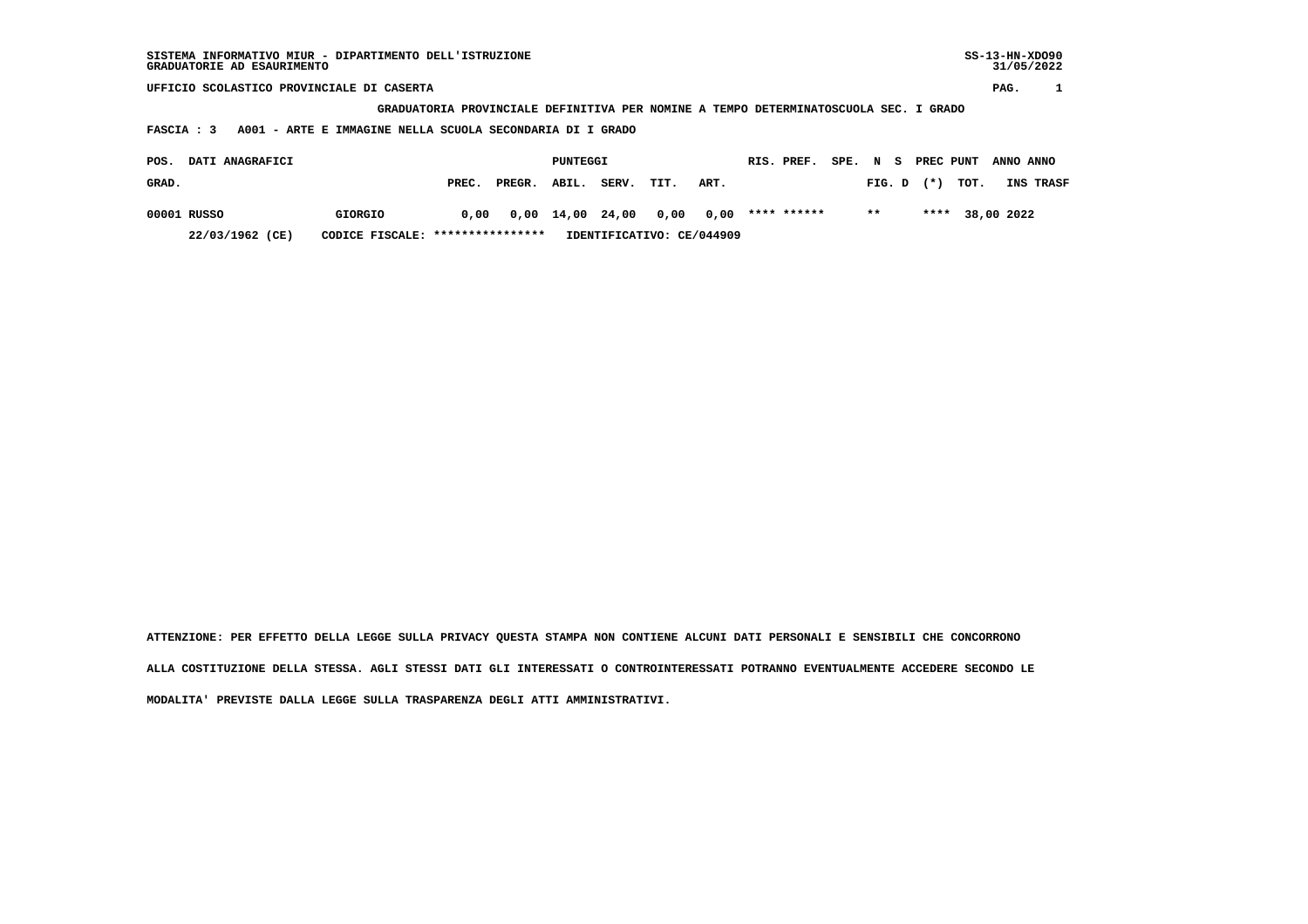| SISTEMA INFORMATIVO MIUR - DIPARTIMENTO DELL'ISTRUZIONE<br>GRADUATORIE AD ESAURIMENTO          |                                                                  |        |       |       |      |            |      |             |  |           |  |           |      | $SS-13-HN-XDO90$<br>31/05/2022 |           |  |
|------------------------------------------------------------------------------------------------|------------------------------------------------------------------|--------|-------|-------|------|------------|------|-------------|--|-----------|--|-----------|------|--------------------------------|-----------|--|
| UFFICIO SCOLASTICO PROVINCIALE DI CASERTA                                                      |                                                                  |        |       |       |      |            |      |             |  |           |  |           |      | PAG.                           |           |  |
| PROVINCIALE DEFINITIVA PER NOMINE A TEMPO DETERMINATOSCUOLA SEC. I GRADO<br><b>GRADUATORIA</b> |                                                                  |        |       |       |      |            |      |             |  |           |  |           |      |                                |           |  |
| A001 - ARTE E IMMAGINE NELLA SCUOLA SECONDARIA DI I GRADO<br>FASCIA : 3                        |                                                                  |        |       |       |      |            |      |             |  |           |  |           |      |                                |           |  |
|                                                                                                |                                                                  |        |       |       |      |            |      |             |  |           |  |           |      |                                |           |  |
| DATI ANAGRAFICI<br>POS.                                                                        | PUNTEGGI                                                         |        |       |       |      | RIS. PREF. | SPE. | N S         |  | PREC PUNT |  | ANNO ANNO |      |                                |           |  |
| GRAD.                                                                                          | PREC.                                                            | PREGR. | ABIL. | SERV. | TIT. | ART.       |      |             |  | FIG. D    |  | $(* )$    | TOT. |                                | INS TRASF |  |
| 00001 RUSSO<br>GIORGIO                                                                         | 0,00                                                             | 0,00   | 14,00 | 24,00 | 0,00 | 0,00       |      | **** ****** |  | $* *$     |  | ****      |      | 38,00 2022                     |           |  |
| 22/03/1962 (CE)                                                                                | ****************<br>IDENTIFICATIVO: CE/044909<br>CODICE FISCALE: |        |       |       |      |            |      |             |  |           |  |           |      |                                |           |  |

 **ATTENZIONE: PER EFFETTO DELLA LEGGE SULLA PRIVACY QUESTA STAMPA NON CONTIENE ALCUNI DATI PERSONALI E SENSIBILI CHE CONCORRONO ALLA COSTITUZIONE DELLA STESSA. AGLI STESSI DATI GLI INTERESSATI O CONTROINTERESSATI POTRANNO EVENTUALMENTE ACCEDERE SECONDO LE MODALITA' PREVISTE DALLA LEGGE SULLA TRASPARENZA DEGLI ATTI AMMINISTRATIVI.**